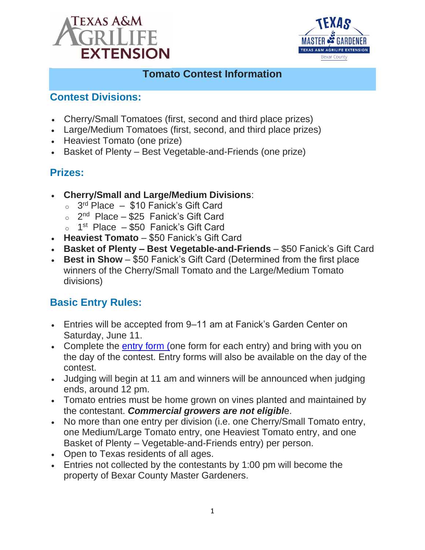



#### **Tomato Contest Information**

#### **Contest Divisions:**

- Cherry/Small Tomatoes (first, second and third place prizes)
- Large/Medium Tomatoes (first, second, and third place prizes)
- Heaviest Tomato (one prize)
- Basket of Plenty Best Vegetable-and-Friends (one prize)

## **Prizes:**

- **Cherry/Small and Large/Medium Divisions**:
	- 3<sup>rd</sup> Place \$10 Fanick's Gift Card
	- o 2<sup>nd</sup> Place \$25 Fanick's Gift Card
	- $\circ$  1<sup>st</sup> Place  $-$  \$50 Fanick's Gift Card
- **Heaviest Tomato** \$50 Fanick's Gift Card
- **Basket of Plenty – Best Vegetable-and-Friends** \$50 Fanick's Gift Card
- **Best in Show** \$50 Fanick's Gift Card (Determined from the first place winners of the Cherry/Small Tomato and the Large/Medium Tomato divisions)

## **Basic Entry Rules:**

- Entries will be accepted from 9–11 am at Fanick's Garden Center on Saturday, June 11.
- Complete the [entry form](file:///C:/Users/nick.vazquez/OneDrive%20-%20Texas%20A&M%20AgriLife/Documents/General/HORT/Nick%20Hort/Top%20Tomato%20Contest/Entry-Form-2022%20Top%20Tomato%20Contest.pdf) (one form for each entry) and bring with you on the day of the contest. Entry forms will also be available on the day of the contest.
- Judging will begin at 11 am and winners will be announced when judging ends, around 12 pm.
- Tomato entries must be home grown on vines planted and maintained by the contestant. *Commercial growers are not eligibl*e.
- No more than one entry per division (i.e. one Cherry/Small Tomato entry, one Medium/Large Tomato entry, one Heaviest Tomato entry, and one Basket of Plenty – Vegetable-and-Friends entry) per person.
- Open to Texas residents of all ages.
- Entries not collected by the contestants by 1:00 pm will become the property of Bexar County Master Gardeners.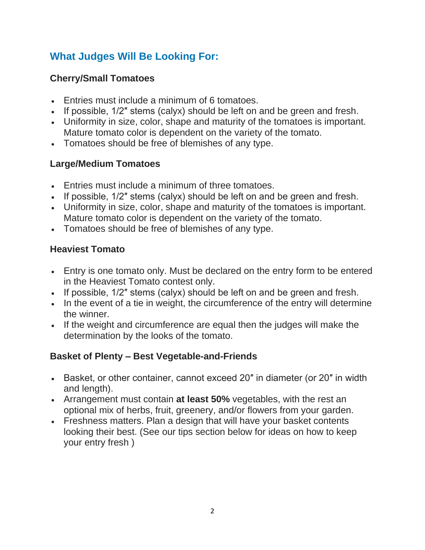# **What Judges Will Be Looking For:**

#### **Cherry/Small Tomatoes**

- Entries must include a minimum of 6 tomatoes.
- If possible, 1/2″ stems (calyx) should be left on and be green and fresh.
- Uniformity in size, color, shape and maturity of the tomatoes is important. Mature tomato color is dependent on the variety of the tomato.
- Tomatoes should be free of blemishes of any type.

### **Large/Medium Tomatoes**

- Entries must include a minimum of three tomatoes.
- If possible, 1/2″ stems (calyx) should be left on and be green and fresh.
- Uniformity in size, color, shape and maturity of the tomatoes is important. Mature tomato color is dependent on the variety of the tomato.
- Tomatoes should be free of blemishes of any type.

### **Heaviest Tomato**

- Entry is one tomato only. Must be declared on the entry form to be entered in the Heaviest Tomato contest only.
- If possible, 1/2" stems (calyx) should be left on and be green and fresh.
- In the event of a tie in weight, the circumference of the entry will determine the winner.
- If the weight and circumference are equal then the judges will make the determination by the looks of the tomato.

### **Basket of Plenty – Best Vegetable-and-Friends**

- Basket, or other container, cannot exceed 20″ in diameter (or 20″ in width and length).
- Arrangement must contain **at least 50%** vegetables, with the rest an optional mix of herbs, fruit, greenery, and/or flowers from your garden.
- Freshness matters. Plan a design that will have your basket contents looking their best. (See our tips section below for ideas on how to keep your entry fresh )